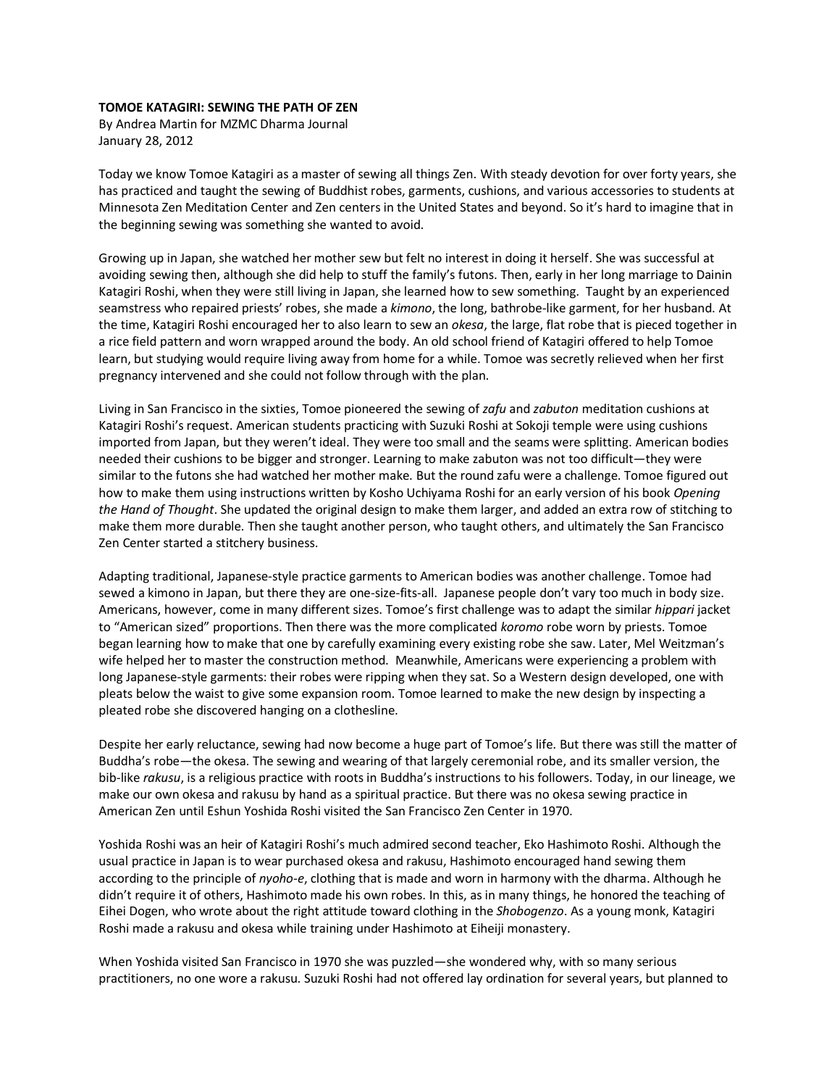## **TOMOE KATAGIRI: SEWING THE PATH OF ZEN**

By Andrea Martin for MZMC Dharma Journal January 28, 2012

Today we know Tomoe Katagiri as a master of sewing all things Zen. With steady devotion for over forty years, she has practiced and taught the sewing of Buddhist robes, garments, cushions, and various accessories to students at Minnesota Zen Meditation Center and Zen centers in the United States and beyond. So it's hard to imagine that in the beginning sewing was something she wanted to avoid.

Growing up in Japan, she watched her mother sew but felt no interest in doing it herself. She was successful at avoiding sewing then, although she did help to stuff the family's futons. Then, early in her long marriage to Dainin Katagiri Roshi, when they were still living in Japan, she learned how to sew something. Taught by an experienced seamstress who repaired priests' robes, she made a *kimono*, the long, bathrobe-like garment, for her husband. At the time, Katagiri Roshi encouraged her to also learn to sew an *okesa*, the large, flat robe that is pieced together in a rice field pattern and worn wrapped around the body. An old school friend of Katagiri offered to help Tomoe learn, but studying would require living away from home for a while. Tomoe was secretly relieved when her first pregnancy intervened and she could not follow through with the plan.

Living in San Francisco in the sixties, Tomoe pioneered the sewing of *zafu* and *zabuton* meditation cushions at Katagiri Roshi's request. American students practicing with Suzuki Roshi at Sokoji temple were using cushions imported from Japan, but they weren't ideal. They were too small and the seams were splitting. American bodies needed their cushions to be bigger and stronger. Learning to make zabuton was not too difficult—they were similar to the futons she had watched her mother make. But the round zafu were a challenge. Tomoe figured out how to make them using instructions written by Kosho Uchiyama Roshi for an early version of his book *Opening the Hand of Thought*. She updated the original design to make them larger, and added an extra row of stitching to make them more durable. Then she taught another person, who taught others, and ultimately the San Francisco Zen Center started a stitchery business.

Adapting traditional, Japanese-style practice garments to American bodies was another challenge. Tomoe had sewed a kimono in Japan, but there they are one-size-fits-all. Japanese people don't vary too much in body size. Americans, however, come in many different sizes. Tomoe's first challenge was to adapt the similar *hippari* jacket to "American sized" proportions. Then there was the more complicated *koromo* robe worn by priests. Tomoe began learning how to make that one by carefully examining every existing robe she saw. Later, Mel Weitzman's wife helped her to master the construction method. Meanwhile, Americans were experiencing a problem with long Japanese-style garments: their robes were ripping when they sat. So a Western design developed, one with pleats below the waist to give some expansion room. Tomoe learned to make the new design by inspecting a pleated robe she discovered hanging on a clothesline.

Despite her early reluctance, sewing had now become a huge part of Tomoe's life. But there was still the matter of Buddha's robe—the okesa. The sewing and wearing of that largely ceremonial robe, and its smaller version, the bib-like *rakusu*, is a religious practice with roots in Buddha's instructions to his followers. Today, in our lineage, we make our own okesa and rakusu by hand as a spiritual practice. But there was no okesa sewing practice in American Zen until Eshun Yoshida Roshi visited the San Francisco Zen Center in 1970.

Yoshida Roshi was an heir of Katagiri Roshi's much admired second teacher, Eko Hashimoto Roshi. Although the usual practice in Japan is to wear purchased okesa and rakusu, Hashimoto encouraged hand sewing them according to the principle of *nyoho-e*, clothing that is made and worn in harmony with the dharma. Although he didn't require it of others, Hashimoto made his own robes. In this, as in many things, he honored the teaching of Eihei Dogen, who wrote about the right attitude toward clothing in the *Shobogenzo*. As a young monk, Katagiri Roshi made a rakusu and okesa while training under Hashimoto at Eiheiji monastery.

When Yoshida visited San Francisco in 1970 she was puzzled—she wondered why, with so many serious practitioners, no one wore a rakusu. Suzuki Roshi had not offered lay ordination for several years, but planned to